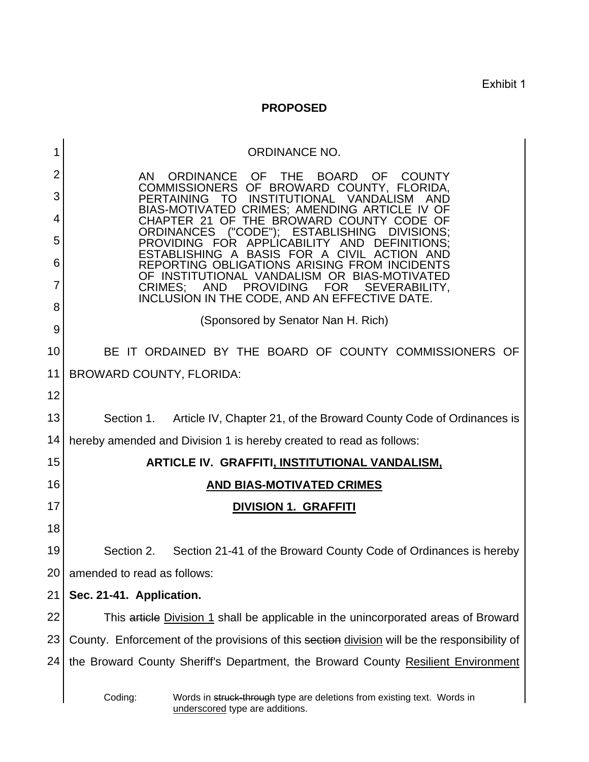Exhibit 1

## **PROPOSED**

| 1              | <b>ORDINANCE NO.</b>                                                                                                             |
|----------------|----------------------------------------------------------------------------------------------------------------------------------|
| $\overline{2}$ | ORDINANCE<br>OF.<br><b>BOARD</b><br>AN.<br><b>THE</b><br><b>OF</b><br><b>COUNTY</b><br>COMMISSIONERS OF BROWARD COUNTY, FLORIDA, |
| 3              | <b>PERTAINING</b><br><b>INSTITUTIONAL</b><br>VANDALISM<br>TO.<br><b>CRIMES; AMENDING ARTI</b><br>BIAS-MOTIVATED                  |
| 4              | THE BROWARD COUNTY<br>CHAPTER<br>-21<br>OF<br><b>ORDINANCES</b><br>("CODE"): ESTABLISHING<br>DIVISIONS:                          |
| 5              | PROVIDING FOR<br>APPI ICABILITY<br>AND<br>A BASIS FOR A<br>ESTABLISHING<br>CIVIL ACT                                             |
| 6              | REPORTING OBLIGATIONS ARISING FROM IN<br>OF INSTITUTIONAL VANDALISM OR BIAS-MOTIVAT                                              |
| 7              | CRIMES:<br><b>AND</b><br><b>PROVIDING</b><br><b>FOR</b><br>SEVERABILITY,<br>INCLUSION IN THE CODE, AND AN EFFECTIVE DATE.        |
| 8              | (Sponsored by Senator Nan H. Rich)                                                                                               |
| 9              |                                                                                                                                  |
| 10             | BE IT ORDAINED BY THE BOARD OF COUNTY COMMISSIONERS OF                                                                           |
| 11             | <b>BROWARD COUNTY, FLORIDA:</b>                                                                                                  |
| 12             |                                                                                                                                  |
| 13             | Section 1. Article IV, Chapter 21, of the Broward County Code of Ordinances is                                                   |
| 14             | hereby amended and Division 1 is hereby created to read as follows:                                                              |
| 15             | <b>ARTICLE IV. GRAFFITI, INSTITUTIONAL VANDALISM,</b>                                                                            |
| 16             | <b>AND BIAS-MOTIVATED CRIMES</b>                                                                                                 |
| 17             | <b>DIVISION 1. GRAFFITI</b>                                                                                                      |
| 18             |                                                                                                                                  |
| 19             | Section 2.<br>Section 21-41 of the Broward County Code of Ordinances is hereby                                                   |
| 20             | amended to read as follows:                                                                                                      |
| 21             | Sec. 21-41. Application.                                                                                                         |
| 22             | This article Division 1 shall be applicable in the unincorporated areas of Broward                                               |
| 23             | County. Enforcement of the provisions of this section division will be the responsibility of                                     |
| 24             | the Broward County Sheriff's Department, the Broward County Resilient Environment                                                |
|                | Coding:<br>Words in struck-through type are deletions from existing text. Words in<br>underscored type are additions.            |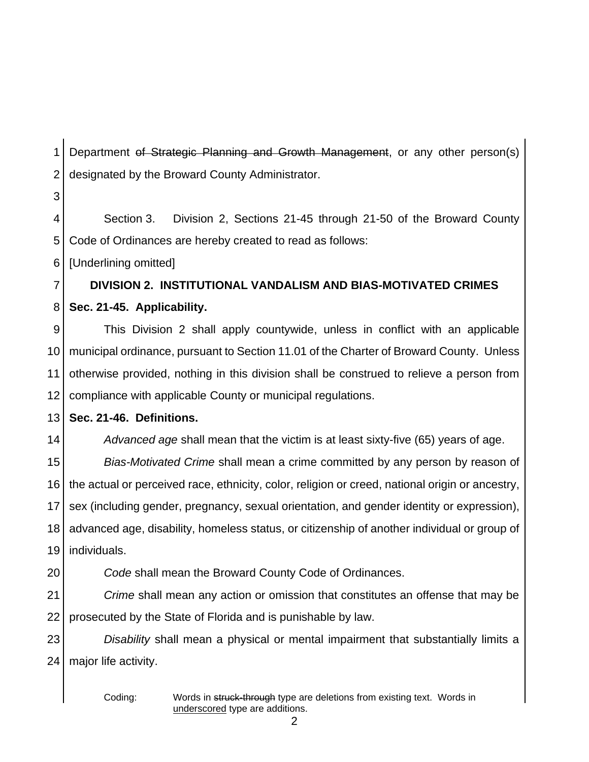1 2 Department of Strategic Planning and Growth Management, or any other person(s) designated by the Broward County Administrator.

4 5 Section 3. Division 2, Sections 21-45 through 21-50 of the Broward County Code of Ordinances are hereby created to read as follows:

6 [Underlining omitted]

3

7 8 **DIVISION 2. INSTITUTIONAL VANDALISM AND BIAS-MOTIVATED CRIMES Sec. 21-45. Applicability.**

9 10 11 12 This Division 2 shall apply countywide, unless in conflict with an applicable municipal ordinance, pursuant to Section 11.01 of the Charter of Broward County. Unless otherwise provided, nothing in this division shall be construed to relieve a person from compliance with applicable County or municipal regulations.

13 **Sec. 21-46. Definitions.**

*Advanced age* shall mean that the victim is at least sixty-five (65) years of age.

15 16 17 18 19 *Bias-Motivated Crime* shall mean a crime committed by any person by reason of the actual or perceived race, ethnicity, color, religion or creed, national origin or ancestry, sex (including gender, pregnancy, sexual orientation, and gender identity or expression), advanced age, disability, homeless status, or citizenship of another individual or group of individuals.

20

14

*Code* shall mean the Broward County Code of Ordinances.

21 22 *Crime* shall mean any action or omission that constitutes an offense that may be prosecuted by the State of Florida and is punishable by law.

23  $24<sub>1</sub>$ *Disability* shall mean a physical or mental impairment that substantially limits a major life activity.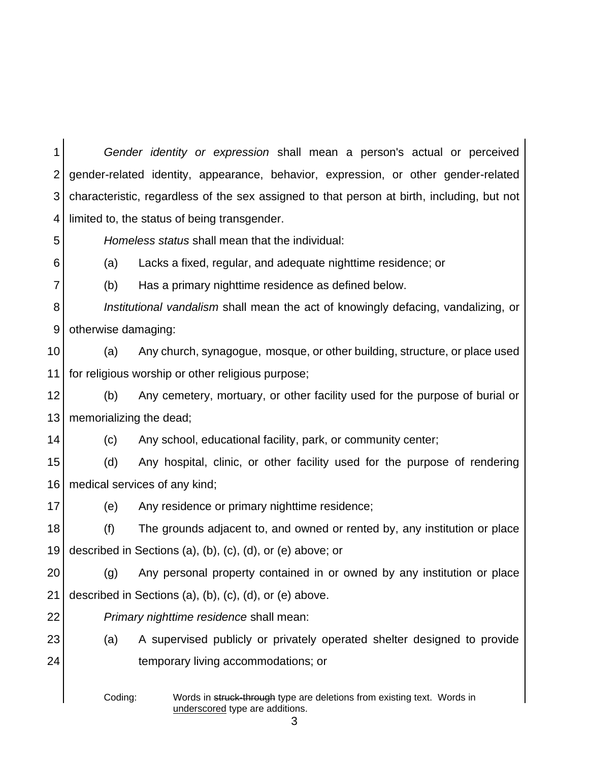1 2 3 4 *Gender identity or expression* shall mean a person's actual or perceived gender-related identity, appearance, behavior, expression, or other gender-related characteristic, regardless of the sex assigned to that person at birth, including, but not limited to, the status of being transgender.

*Homeless status* shall mean that the individual:

6 7

5

(b) Has a primary nighttime residence as defined below.

(a) Lacks a fixed, regular, and adequate nighttime residence; or

8 9 *Institutional vandalism* shall mean the act of knowingly defacing, vandalizing, or otherwise damaging:

10 11 (a) Any church, synagogue, mosque, or other building, structure, or place used for religious worship or other religious purpose;

12 13 (b) Any cemetery, mortuary, or other facility used for the purpose of burial or memorializing the dead;

14

(c) Any school, educational facility, park, or community center;

15 16 (d) Any hospital, clinic, or other facility used for the purpose of rendering medical services of any kind;

17 (e) Any residence or primary nighttime residence;

18 19 (f) The grounds adjacent to, and owned or rented by, any institution or place described in Sections (a), (b), (c), (d), or (e) above; or

20 21 (g) Any personal property contained in or owned by any institution or place described in Sections (a), (b), (c), (d), or (e) above.

22

*Primary nighttime residence* shall mean:

23 24 (a) A supervised publicly or privately operated shelter designed to provide temporary living accommodations; or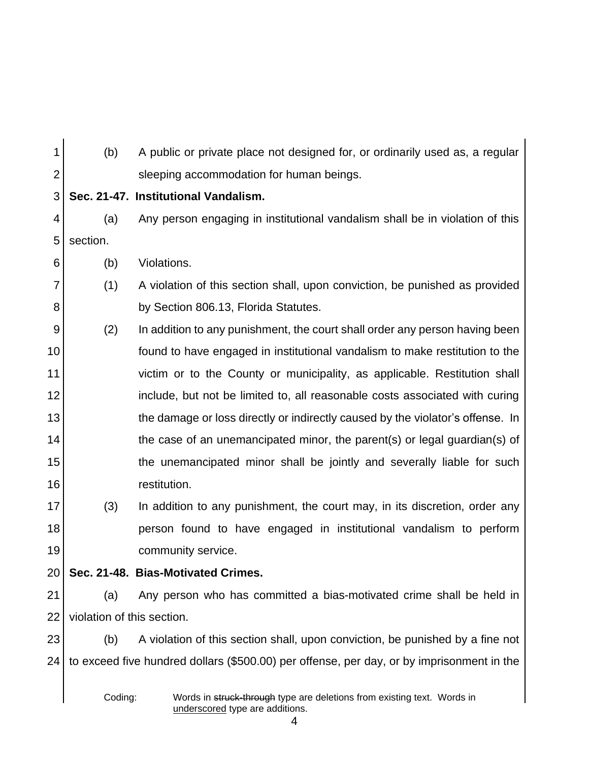1 2 3 4 (b) A public or private place not designed for, or ordinarily used as, a regular sleeping accommodation for human beings. **Sec. 21-47. Institutional Vandalism.** (a) Any person engaging in institutional vandalism shall be in violation of this

5 section.

6 (b) Violations.

- 7 8 (1) A violation of this section shall, upon conviction, be punished as provided by Section 806.13, Florida Statutes.
- 9 10 11 12 13 14 15 16 (2) In addition to any punishment, the court shall order any person having been found to have engaged in institutional vandalism to make restitution to the victim or to the County or municipality, as applicable. Restitution shall include, but not be limited to, all reasonable costs associated with curing the damage or loss directly or indirectly caused by the violator's offense. In the case of an unemancipated minor, the parent(s) or legal guardian(s) of the unemancipated minor shall be jointly and severally liable for such restitution.
- 17 18 19 (3) In addition to any punishment, the court may, in its discretion, order any person found to have engaged in institutional vandalism to perform community service.
- 20
	- **Sec. 21-48. Bias-Motivated Crimes.**
- 21 22 (a) Any person who has committed a bias-motivated crime shall be held in violation of this section.

23 24 (b) A violation of this section shall, upon conviction, be punished by a fine not to exceed five hundred dollars (\$500.00) per offense, per day, or by imprisonment in the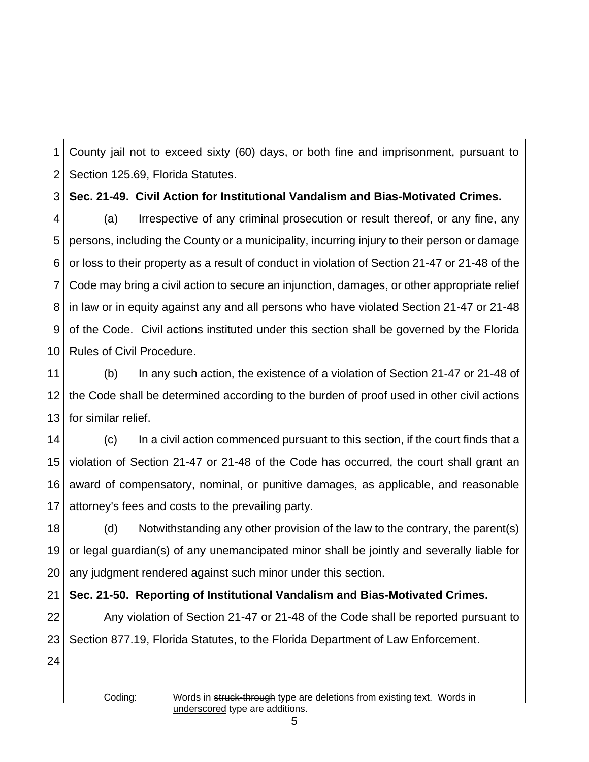1 2 County jail not to exceed sixty (60) days, or both fine and imprisonment, pursuant to Section 125.69, Florida Statutes.

3 **Sec. 21-49. Civil Action for Institutional Vandalism and Bias-Motivated Crimes.**

4 5 6 7 8 9 10 (a) Irrespective of any criminal prosecution or result thereof, or any fine, any persons, including the County or a municipality, incurring injury to their person or damage or loss to their property as a result of conduct in violation of Section 21-47 or 21-48 of the Code may bring a civil action to secure an injunction, damages, or other appropriate relief in law or in equity against any and all persons who have violated Section 21-47 or 21-48 of the Code. Civil actions instituted under this section shall be governed by the Florida Rules of Civil Procedure.

11 12 13 (b) In any such action, the existence of a violation of Section 21-47 or 21-48 of the Code shall be determined according to the burden of proof used in other civil actions for similar relief.

14 15 16 17 (c) In a civil action commenced pursuant to this section, if the court finds that a violation of Section 21-47 or 21-48 of the Code has occurred, the court shall grant an award of compensatory, nominal, or punitive damages, as applicable, and reasonable attorney's fees and costs to the prevailing party.

18 19 20 (d) Notwithstanding any other provision of the law to the contrary, the parent(s) or legal guardian(s) of any unemancipated minor shall be jointly and severally liable for any judgment rendered against such minor under this section.

21 **Sec. 21-50. Reporting of Institutional Vandalism and Bias-Motivated Crimes.**

22 23 Any violation of Section 21-47 or 21-48 of the Code shall be reported pursuant to Section 877.19, Florida Statutes, to the Florida Department of Law Enforcement.

24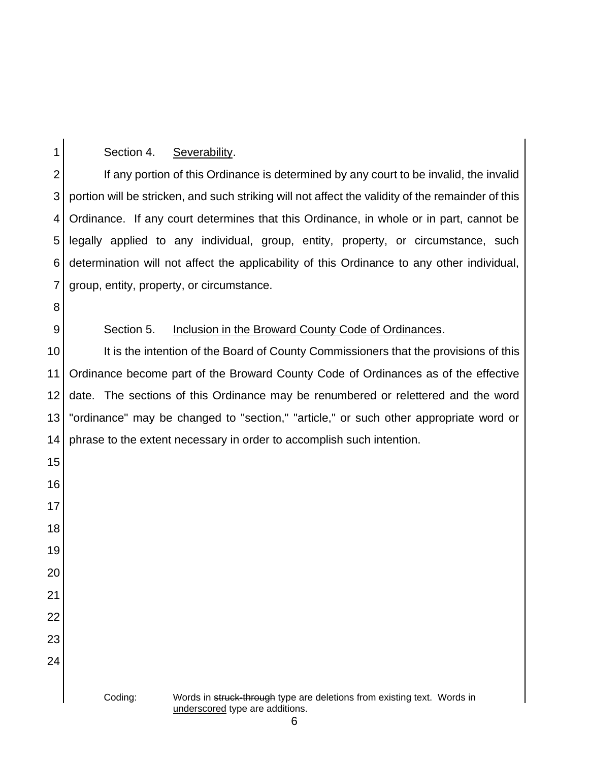## Section 4. Severability.

 If any portion of this Ordinance is determined by any court to be invalid, the invalid portion will be stricken, and such striking will not affect the validity of the remainder of this Ordinance. If any court determines that this Ordinance, in whole or in part, cannot be legally applied to any individual, group, entity, property, or circumstance, such determination will not affect the applicability of this Ordinance to any other individual, group, entity, property, or circumstance.

## Section 5. Inclusion in the Broward County Code of Ordinances.

 It is the intention of the Board of County Commissioners that the provisions of this Ordinance become part of the Broward County Code of Ordinances as of the effective date. The sections of this Ordinance may be renumbered or relettered and the word "ordinance" may be changed to "section," "article," or such other appropriate word or phrase to the extent necessary in order to accomplish such intention.